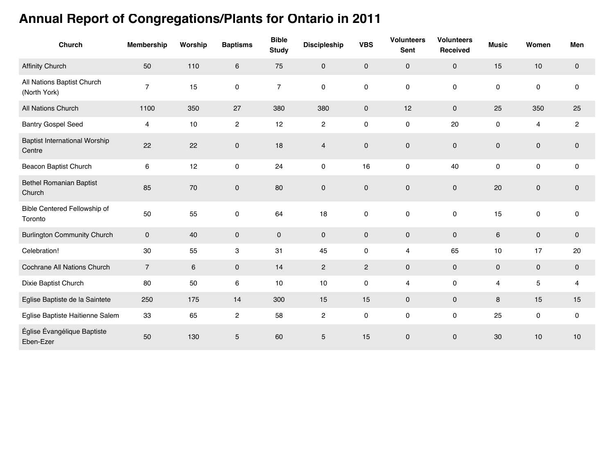## **Annual Report of Congregations/Plants for Ontario in 2011**

| <b>Church</b>                                  | Membership     | Worship | <b>Baptisms</b> | <b>Bible</b><br><b>Study</b> | <b>Discipleship</b> | <b>VBS</b>     | <b>Volunteers</b><br><b>Sent</b> | <b>Volunteers</b><br>Received | <b>Music</b> | Women                   | Men         |
|------------------------------------------------|----------------|---------|-----------------|------------------------------|---------------------|----------------|----------------------------------|-------------------------------|--------------|-------------------------|-------------|
| <b>Affinity Church</b>                         | 50             | 110     | 6               | 75                           | $\mathbf 0$         | 0              | $\mathbf 0$                      | $\pmb{0}$                     | 15           | 10                      | $\mathbf 0$ |
| All Nations Baptist Church<br>(North York)     | $\overline{7}$ | 15      | 0               | $\overline{7}$               | $\pmb{0}$           | 0              | $\pmb{0}$                        | $\mathsf 0$                   | 0            | 0                       | $\pmb{0}$   |
| <b>All Nations Church</b>                      | 1100           | 350     | 27              | 380                          | 380                 | $\mathsf{O}$   | 12                               | $\mathbf 0$                   | 25           | 350                     | 25          |
| <b>Bantry Gospel Seed</b>                      | 4              | 10      | $\mathbf{2}$    | 12                           | $\overline{c}$      | 0              | $\mathsf 0$                      | 20                            | 0            | $\overline{\mathbf{4}}$ | $\sqrt{2}$  |
| <b>Baptist International Worship</b><br>Centre | 22             | 22      | $\pmb{0}$       | 18                           | $\overline{4}$      | 0              | $\mathsf{O}\xspace$              | $\mathsf{O}\xspace$           | $\pmb{0}$    | $\mathsf{O}\xspace$     | $\pmb{0}$   |
| Beacon Baptist Church                          | 6              | 12      | 0               | 24                           | 0                   | 16             | 0                                | 40                            | 0            | 0                       | $\pmb{0}$   |
| <b>Bethel Romanian Baptist</b><br>Church       | 85             | 70      | $\pmb{0}$       | 80                           | $\pmb{0}$           | 0              | $\mathsf{O}\xspace$              | $\mathbf 0$                   | 20           | $\mathsf{O}\xspace$     | $\pmb{0}$   |
| Bible Centered Fellowship of<br>Toronto        | 50             | 55      | 0               | 64                           | 18                  | 0              | $\pmb{0}$                        | $\mathsf 0$                   | 15           | $\pmb{0}$               | 0           |
| <b>Burlington Community Church</b>             | $\mathbf 0$    | 40      | 0               | $\mathbf 0$                  | $\mathbf 0$         | 0              | $\mathbf 0$                      | $\mathbf 0$                   | 6            | $\mathbf 0$             | $\mathbf 0$ |
| Celebration!                                   | 30             | 55      | 3               | 31                           | 45                  | 0              | 4                                | 65                            | 10           | 17                      | 20          |
| Cochrane All Nations Church                    | $\overline{7}$ | 6       | 0               | 14                           | $\sqrt{2}$          | $\overline{c}$ | $\mathbf 0$                      | $\pmb{0}$                     | 0            | $\mathbf 0$             | $\mathbf 0$ |
| Dixie Baptist Church                           | 80             | 50      | 6               | 10                           | 10                  | 0              | 4                                | $\pmb{0}$                     | 4            | 5                       | 4           |
| Eglise Baptiste de la Saintete                 | 250            | 175     | 14              | 300                          | 15                  | 15             | $\mathbf 0$                      | $\mathsf{O}\xspace$           | 8            | 15                      | 15          |
| Eglise Baptiste Haitienne Salem                | 33             | 65      | $\overline{c}$  | 58                           | $\sqrt{2}$          | 0              | $\pmb{0}$                        | $\pmb{0}$                     | 25           | $\mathsf{O}\xspace$     | $\pmb{0}$   |
| Église Évangélique Baptiste<br>Eben-Ezer       | 50             | 130     | 5               | 60                           | $\sqrt{5}$          | 15             | $\pmb{0}$                        | $\mathbf 0$                   | 30           | $10$                    | 10          |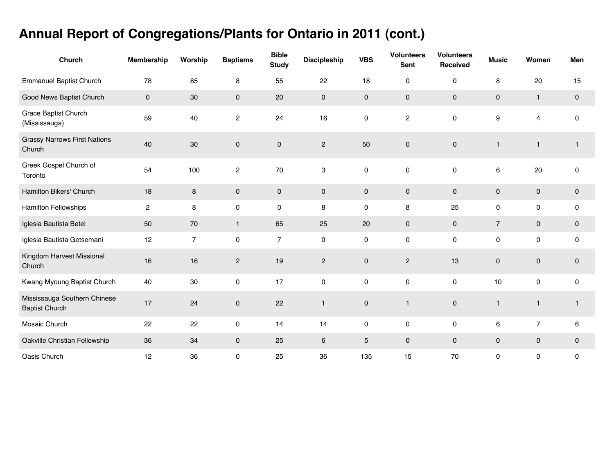## **Annual Report of Congregations/Plants for Ontario in 2011 (cont.)**

| Church                                                | <b>Membership</b>   | Worship        | <b>Baptisms</b>     | <b>Bible</b><br><b>Study</b> | <b>Discipleship</b> | <b>VBS</b>          | <b>Volunteers</b><br>Sent | <b>Volunteers</b><br>Received | <b>Music</b>        | Women          | Men          |
|-------------------------------------------------------|---------------------|----------------|---------------------|------------------------------|---------------------|---------------------|---------------------------|-------------------------------|---------------------|----------------|--------------|
| <b>Emmanuel Baptist Church</b>                        | 78                  | 85             | 8                   | 55                           | 22                  | 18                  | $\pmb{0}$                 | $\pmb{0}$                     | 8                   | 20             | 15           |
| Good News Baptist Church                              | $\mathsf{O}\xspace$ | 30             | $\mathbf 0$         | 20                           | $\pmb{0}$           | $\mathsf{O}\xspace$ | $\pmb{0}$                 | $\pmb{0}$                     | $\mathsf{O}\xspace$ | $\mathbf{1}$   | $\mathbf 0$  |
| Grace Baptist Church<br>(Mississauga)                 | 59                  | 40             | $\overline{c}$      | 24                           | 16                  | 0                   | $\sqrt{2}$                | $\pmb{0}$                     | 9                   | 4              | $\pmb{0}$    |
| <b>Grassy Narrows First Nations</b><br>Church         | 40                  | 30             | $\pmb{0}$           | $\pmb{0}$                    | $\sqrt{2}$          | 50                  | $\pmb{0}$                 | $\pmb{0}$                     | $\overline{1}$      | $\mathbf{1}$   | $\mathbf{1}$ |
| Greek Gospel Church of<br>Toronto                     | 54                  | 100            | $\mathbf{2}$        | 70                           | 3                   | $\pmb{0}$           | $\pmb{0}$                 | $\pmb{0}$                     | 6                   | 20             | $\mathbf 0$  |
| Hamilton Bikers' Church                               | 18                  | $\,8\,$        | $\mathsf{O}\xspace$ | $\mathbf{0}$                 | $\pmb{0}$           | $\mathsf{O}\xspace$ | $\pmb{0}$                 | $\mathbf 0$                   | 0                   | $\pmb{0}$      | $\pmb{0}$    |
| <b>Hamilton Fellowships</b>                           | $\overline{2}$      | 8              | 0                   | 0                            | 8                   | 0                   | 8                         | 25                            | 0                   | $\mathbf 0$    | 0            |
| Iglesia Bautista Betel                                | 50                  | 70             | $\mathbf{1}$        | 65                           | 25                  | 20                  | $\pmb{0}$                 | $\pmb{0}$                     | $\overline{7}$      | $\pmb{0}$      | $\mathbf 0$  |
| Iglesia Bautista Getsemani                            | 12                  | $\overline{7}$ | 0                   | $\overline{7}$               | $\pmb{0}$           | 0                   | $\pmb{0}$                 | $\pmb{0}$                     | 0                   | 0              | $\pmb{0}$    |
| Kingdom Harvest Missional<br>Church                   | 16                  | 16             | $\overline{2}$      | 19                           | $\mathbf{2}$        | $\mathbf 0$         | $\mathbf{2}$              | 13                            | 0                   | $\pmb{0}$      | $\mathbf 0$  |
| Kwang Myoung Baptist Church                           | 40                  | 30             | 0                   | 17                           | $\pmb{0}$           | 0                   | $\pmb{0}$                 | 0                             | 10                  | $\mathsf 0$    | $\pmb{0}$    |
| Mississauga Southern Chinese<br><b>Baptist Church</b> | 17                  | 24             | $\mathbf 0$         | 22                           | $\mathbf{1}$        | $\pmb{0}$           | $\mathbf{1}$              | $\pmb{0}$                     | $\mathbf{1}$        | $\mathbf{1}$   | $\mathbf{1}$ |
| Mosaic Church                                         | 22                  | 22             | 0                   | 14                           | 14                  | 0                   | $\pmb{0}$                 | $\pmb{0}$                     | 6                   | $\overline{7}$ | 6            |
| Oakville Christian Fellowship                         | 36                  | 34             | $\mathbf 0$         | 25                           | 6                   | 5                   | $\mathbf 0$               | $\mathbf 0$                   | 0                   | $\mathbf 0$    | $\mathbf 0$  |
| Oasis Church                                          | 12                  | 36             | $\pmb{0}$           | 25                           | 36                  | 135                 | 15                        | 70                            | 0                   | 0              | $\pmb{0}$    |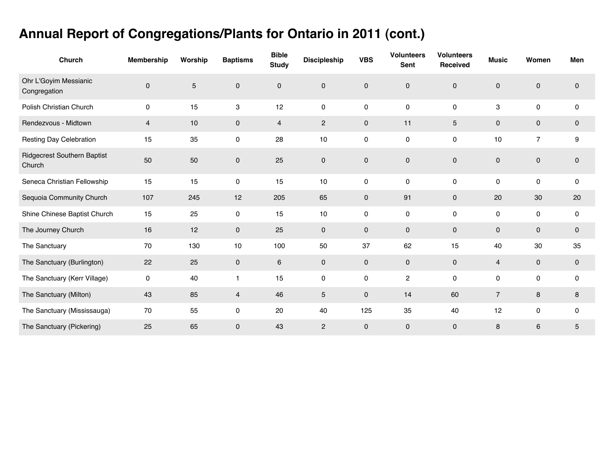## **Annual Report of Congregations/Plants for Ontario in 2011 (cont.)**

| <b>Church</b>                                | <b>Membership</b> | Worship        | <b>Baptisms</b>     | <b>Bible</b><br><b>Study</b> | <b>Discipleship</b> | <b>VBS</b>  | <b>Volunteers</b><br>Sent | <b>Volunteers</b><br><b>Received</b> | <b>Music</b>   | Women          | Men         |
|----------------------------------------------|-------------------|----------------|---------------------|------------------------------|---------------------|-------------|---------------------------|--------------------------------------|----------------|----------------|-------------|
| Ohr L'Goyim Messianic<br>Congregation        | $\pmb{0}$         | $\overline{5}$ | $\mathbf 0$         | $\mathbf{0}$                 | 0                   | $\mathbf 0$ | 0                         | $\mathbf 0$                          | $\mathbf 0$    | $\mathbf 0$    | $\mathbf 0$ |
| Polish Christian Church                      | 0                 | 15             | 3                   | 12                           | 0                   | 0           | $\pmb{0}$                 | 0                                    | 3              | $\pmb{0}$      | $\pmb{0}$   |
| Rendezvous - Midtown                         | $\overline{4}$    | 10             | $\mathsf{O}\xspace$ | $\overline{4}$               | $\overline{c}$      | $\mathbf 0$ | 11                        | $\overline{5}$                       | $\mathbf 0$    | $\pmb{0}$      | $\mathbf 0$ |
| Resting Day Celebration                      | 15                | 35             | $\mathsf{O}\xspace$ | 28                           | 10                  | 0           | $\pmb{0}$                 | $\pmb{0}$                            | 10             | $\overline{7}$ | 9           |
| <b>Ridgecrest Southern Baptist</b><br>Church | 50                | 50             | $\mathsf{O}\xspace$ | 25                           | $\mathsf 0$         | $\mathbf 0$ | $\pmb{0}$                 | $\mathbf 0$                          | $\pmb{0}$      | $\pmb{0}$      | $\pmb{0}$   |
| Seneca Christian Fellowship                  | 15                | 15             | 0                   | 15                           | 10                  | $\mathbf 0$ | $\mathbf 0$               | $\mathbf 0$                          | 0              | $\mathbf 0$    | $\mathbf 0$ |
| Sequoia Community Church                     | 107               | 245            | 12                  | 205                          | 65                  | $\mathbf 0$ | 91                        | $\mathbf 0$                          | 20             | 30             | 20          |
| Shine Chinese Baptist Church                 | 15                | 25             | $\mathsf{O}\xspace$ | 15                           | 10                  | 0           | $\pmb{0}$                 | 0                                    | $\mathsf{O}$   | $\pmb{0}$      | $\pmb{0}$   |
| The Journey Church                           | 16                | 12             | $\mathbf 0$         | 25                           | $\pmb{0}$           | $\mathbf 0$ | $\pmb{0}$                 | $\mathbf 0$                          | $\mathbf 0$    | $\mathbf 0$    | $\mathbf 0$ |
| The Sanctuary                                | 70                | 130            | 10                  | 100                          | 50                  | 37          | 62                        | 15                                   | 40             | 30             | 35          |
| The Sanctuary (Burlington)                   | 22                | 25             | $\mathbf 0$         | 6                            | 0                   | $\mathbf 0$ | $\mathbf 0$               | $\mathbf 0$                          | $\overline{4}$ | $\pmb{0}$      | $\mathbf 0$ |
| The Sanctuary (Kerr Village)                 | 0                 | 40             | $\mathbf{1}$        | 15                           | 0                   | 0           | $\overline{c}$            | $\mathbf 0$                          | 0              | $\mathbf 0$    | 0           |
| The Sanctuary (Milton)                       | 43                | 85             | $\overline{4}$      | 46                           | 5                   | $\mathbf 0$ | 14                        | 60                                   | $\overline{7}$ | 8              | 8           |
| The Sanctuary (Mississauga)                  | 70                | 55             | $\mathsf{O}\xspace$ | 20                           | 40                  | 125         | 35                        | 40                                   | 12             | $\pmb{0}$      | $\mathbf 0$ |
| The Sanctuary (Pickering)                    | 25                | 65             | $\pmb{0}$           | 43                           | $\overline{c}$      | $\mathbf 0$ | $\pmb{0}$                 | $\mathbf 0$                          | 8              | 6              | 5           |